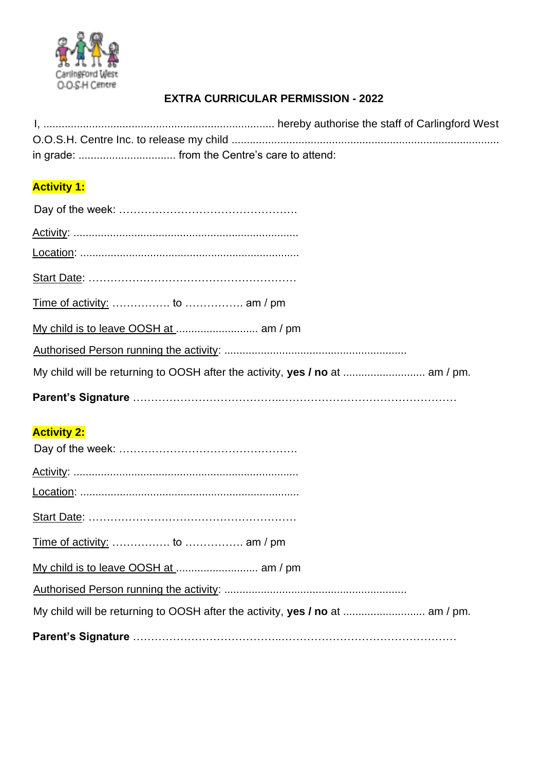

## **EXTRA CURRICULAR PERMISSION - 2022**

## **Activity 1:**

| My child will be returning to OOSH after the activity, yes / no at  am / pm. |  |  |
|------------------------------------------------------------------------------|--|--|
|                                                                              |  |  |

## **Activity 2:**

| My child will be returning to OOSH after the activity, yes / no at  am / pm. |  |
|------------------------------------------------------------------------------|--|
|                                                                              |  |